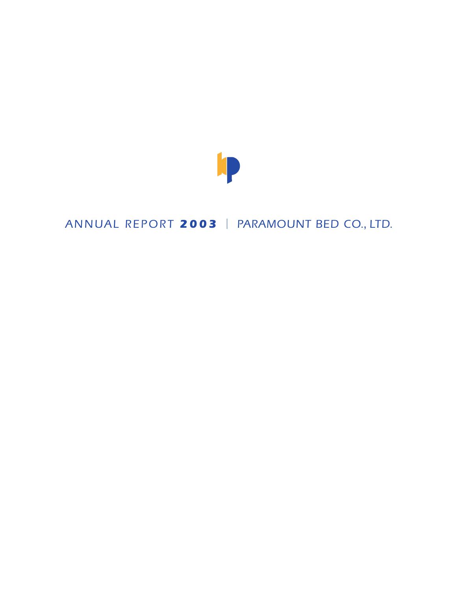

## *ANNUAL REPORT 2003 PARAMOUNT BED CO.*, *LTD.*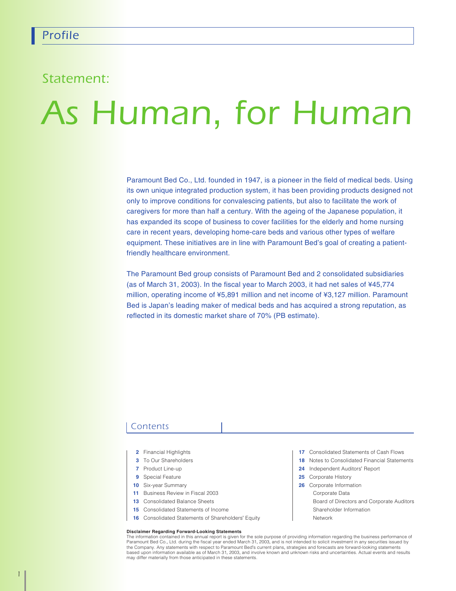### *Statement:*

# *As Human*, *for Human*

Paramount Bed Co., Ltd. founded in 1947, is a pioneer in the field of medical beds. Using its own unique integrated production system, it has been providing products designed not only to improve conditions for convalescing patients, but also to facilitate the work of caregivers for more than half a century. With the ageing of the Japanese population, it has expanded its scope of business to cover facilities for the elderly and home nursing care in recent years, developing home-care beds and various other types of welfare equipment. These initiatives are in line with Paramount Bed's goal of creating a patientfriendly healthcare environment.

The Paramount Bed group consists of Paramount Bed and 2 consolidated subsidiaries (as of March 31, 2003). In the fiscal year to March 2003, it had net sales of ¥45,774 million, operating income of ¥5,891 million and net income of ¥3,127 million. Paramount Bed is Japan's leading maker of medical beds and has acquired a strong reputation, as reflected in its domestic market share of 70% (PB estimate).

#### *Contents*

- **2** Financial Highlights
- **3** To Our Shareholders
- **7** Product Line-up
- **9** Special Feature
- **10** Six-year Summary
- **11** Business Review in Fiscal 2003
- **13** Consolidated Balance Sheets
- **15** Consolidated Statements of Income
- **16** Consolidated Statements of Shareholders' Equity

#### **Disclaimer Regarding Forward-Looking Statements**

The information contained in this annual report is given for the sole purpose of providing information regarding the business performance of<br>Paramount Bed Co., Ltd. during the fiscal year ended March 31, 2003, and is not i the Company. Any statements with respect to Paramount Bed's current plans, strategies and forecasts are forward-looking statements based upon information available as of March 31, 2003, and involve known and unknown risks and uncertainties. Actual events and results may differ materially from those anticipated in these statements.

- **17** Consolidated Statements of Cash Flows
- **18** Notes to Consolidated Financial Statements
- **24** Independent Auditors' Report
- **25** Corporate History
- **26** Corporate Information
- Corporate Data

Board of Directors and Corporate Auditors Shareholder Information

Network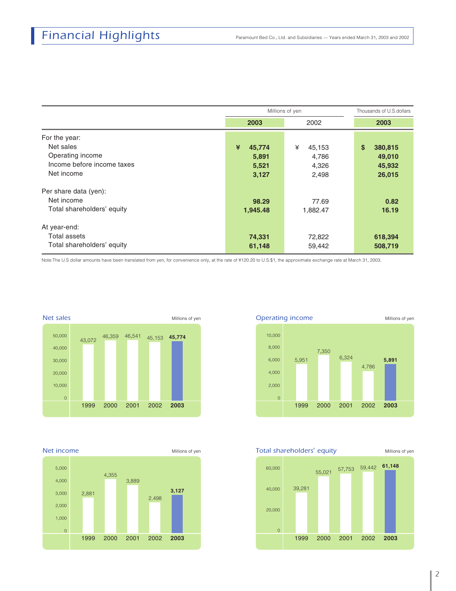|                            |             | Millions of yen | Thousands of U.S.dollars |  |  |
|----------------------------|-------------|-----------------|--------------------------|--|--|
|                            | 2003        | 2002            | 2003                     |  |  |
| For the year:              |             |                 |                          |  |  |
| Net sales                  | ¥<br>45,774 | ¥<br>45,153     | \$<br>380,815            |  |  |
| Operating income           | 5,891       | 4,786           | 49,010                   |  |  |
| Income before income taxes | 5,521       | 4,326           | 45,932                   |  |  |
| Net income                 | 3,127       | 2,498           | 26,015                   |  |  |
| Per share data (yen):      |             |                 |                          |  |  |
| Net income                 | 98.29       | 77.69           | 0.82                     |  |  |
| Total shareholders' equity | 1,945.48    | 1,882.47        | 16.19                    |  |  |
| At year-end:               |             |                 |                          |  |  |
| Total assets               | 74,331      | 72,822          | 618,394                  |  |  |
| Total shareholders' equity | 61,148      | 59,442          | 508,719                  |  |  |

Note:The U.S dollar amounts have been translated from yen, for convenience only, at the rate of ¥120.20 to U.S.\$1, the approximate exchange rate at March 31, 2003.



**Net income** Millions of yen





**Total shareholders'** equity Millions of yen 1999 2000 2001 2002 39,281 <sup>55</sup>,<sup>021</sup> <sup>57</sup>,<sup>753</sup> 59,442 **61,148** 0 20,000 40,000 60,000 **2003**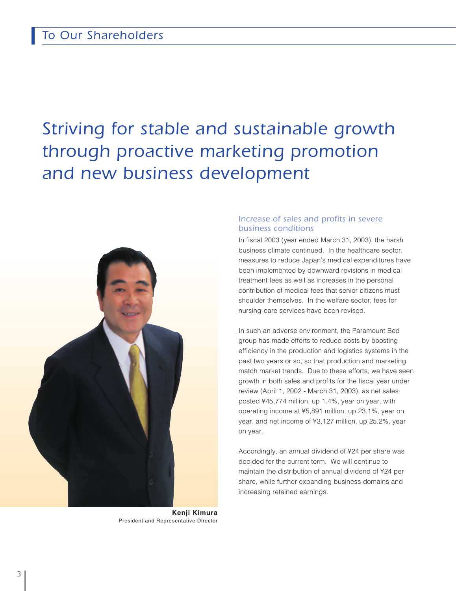## *Striving for stable and sustainable growth through proactive marketing promotion and new business development*



**Kenji Kimura** President and Representative Director

#### *Increase of sales and profits in severe business conditions*

In fiscal 2003 (year ended March 31, 2003), the harsh business climate continued. In the healthcare sector, measures to reduce Japan's medical expenditures have been implemented by downward revisions in medical treatment fees as well as increases in the personal contribution of medical fees that senior citizens must shoulder themselves. In the welfare sector, fees for nursing-care services have been revised.

In such an adverse environment, the Paramount Bed group has made efforts to reduce costs by boosting efficiency in the production and logistics systems in the past two years or so, so that production and marketing match market trends. Due to these efforts, we have seen growth in both sales and profits for the fiscal year under review (April 1, 2002 - March 31, 2003), as net sales posted ¥45,774 million, up 1.4%, year on year, with operating income at ¥5,891 million, up 23.1%, year on year, and net income of ¥3,127 million, up 25.2%, year on year.

Accordingly, an annual dividend of ¥24 per share was decided for the current term. We will continue to maintain the distribution of annual dividend of ¥24 per share, while further expanding business domains and increasing retained earnings.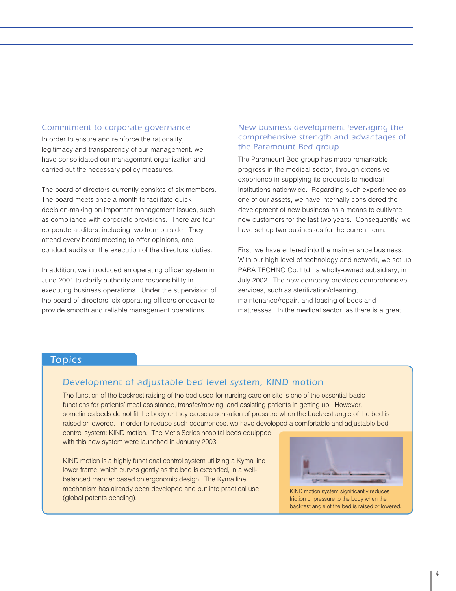In order to ensure and reinforce the rationality, legitimacy and transparency of our management, we have consolidated our management organization and carried out the necessary policy measures.

The board of directors currently consists of six members. The board meets once a month to facilitate quick decision-making on important management issues, such as compliance with corporate provisions. There are four corporate auditors, including two from outside. They attend every board meeting to offer opinions, and conduct audits on the execution of the directors' duties.

In addition, we introduced an operating officer system in June 2001 to clarify authority and responsibility in executing business operations. Under the supervision of the board of directors, six operating officers endeavor to provide smooth and reliable management operations.

#### *Commitment to corporate governance New business development leveraging the comprehensive strength and advantages of the Paramount Bed group*

The Paramount Bed group has made remarkable progress in the medical sector, through extensive experience in supplying its products to medical institutions nationwide. Regarding such experience as one of our assets, we have internally considered the development of new business as a means to cultivate new customers for the last two years. Consequently, we have set up two businesses for the current term.

First, we have entered into the maintenance business. With our high level of technology and network, we set up PARA TECHNO Co. Ltd., a wholly-owned subsidiary, in July 2002. The new company provides comprehensive services, such as sterilization/cleaning, maintenance/repair, and leasing of beds and mattresses. In the medical sector, as there is a great

#### *Topics*

#### *Development of adjustable bed level system, KIND motion*

The function of the backrest raising of the bed used for nursing care on site is one of the essential basic functions for patients' meal assistance, transfer/moving, and assisting patients in getting up. However, sometimes beds do not fit the body or they cause a sensation of pressure when the backrest angle of the bed is raised or lowered. In order to reduce such occurrences, we have developed a comfortable and adjustable bed-

control system: KIND motion. The Metis Series hospital beds equipped with this new system were launched in January 2003.

KIND motion is a highly functional control system utilizing a Kyma line lower frame, which curves gently as the bed is extended, in a wellbalanced manner based on ergonomic design. The Kyma line mechanism has already been developed and put into practical use (global patents pending).



KIND motion system significantly reduces friction or pressure to the body when the backrest angle of the bed is raised or lowered.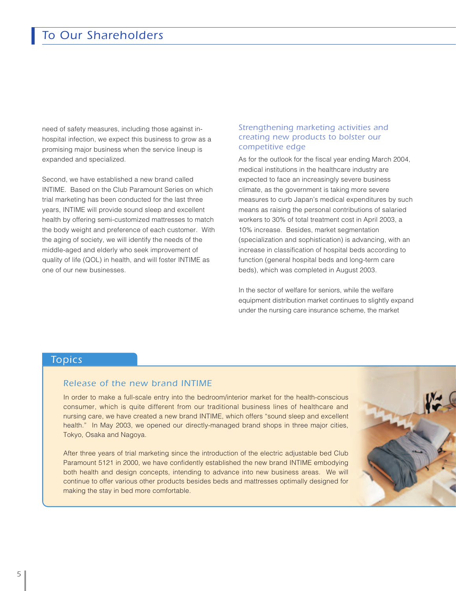need of safety measures, including those against inhospital infection, we expect this business to grow as a promising major business when the service lineup is expanded and specialized.

Second, we have established a new brand called INTIME. Based on the Club Paramount Series on which trial marketing has been conducted for the last three years, INTIME will provide sound sleep and excellent health by offering semi-customized mattresses to match the body weight and preference of each customer. With the aging of society, we will identify the needs of the middle-aged and elderly who seek improvement of quality of life (QOL) in health, and will foster INTIME as one of our new businesses.

#### *Strengthening marketing activities and creating new products to bolster our competitive edge*

As for the outlook for the fiscal year ending March 2004, medical institutions in the healthcare industry are expected to face an increasingly severe business climate, as the government is taking more severe measures to curb Japan's medical expenditures by such means as raising the personal contributions of salaried workers to 30% of total treatment cost in April 2003, a 10% increase. Besides, market segmentation (specialization and sophistication) is advancing, with an increase in classification of hospital beds according to function (general hospital beds and long-term care beds), which was completed in August 2003.

In the sector of welfare for seniors, while the welfare equipment distribution market continues to slightly expand under the nursing care insurance scheme, the market

#### *Topics*

#### *Release of the new brand INTIME*

In order to make a full-scale entry into the bedroom/interior market for the health-conscious consumer, which is quite different from our traditional business lines of healthcare and nursing care, we have created a new brand INTIME, which offers "sound sleep and excellent health." In May 2003, we opened our directly-managed brand shops in three major cities, Tokyo, Osaka and Nagoya.

After three years of trial marketing since the introduction of the electric adjustable bed Club Paramount 5121 in 2000, we have confidently established the new brand INTIME embodying both health and design concepts, intending to advance into new business areas. We will continue to offer various other products besides beds and mattresses optimally designed for making the stay in bed more comfortable.

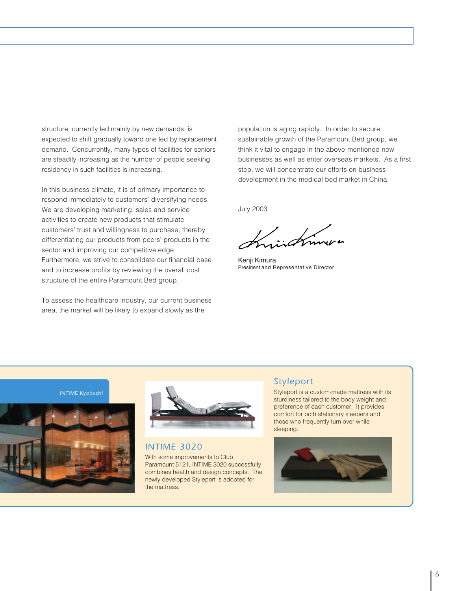structure, currently led mainly by new demands, is expected to shift gradually toward one led by replacement demand. Concurrently, many types of facilities for seniors are steadily increasing as the number of people seeking residency in such facilities is increasing.

In this business climate, it is of primary importance to respond immediately to customers' diversifying needs. We are developing marketing, sales and service activities to create new products that stimulate customers' trust and willingness to purchase, thereby differentiating our products from peers' products in the sector and improving our competitive edge. Furthermore, we strive to consolidate our financial base and to increase profits by reviewing the overall cost structure of the entire Paramount Bed group.

To assess the healthcare industry, our current business area, the market will be likely to expand slowly as the

population is aging rapidly. In order to secure sustainable growth of the Paramount Bed group, we think it vital to engage in the above-mentioned new businesses as well as enter overseas markets. As a first step, we will concentrate our efforts on business development in the medical bed market in China.

July 2003

Kenji Kimura President and Representative Director

*INTIME Kyobashi*





*INTIME 3020*

With some improvements to Club Paramount 5121, INTIME 3020 successfully combines health and design concepts. The newly developed Styleport is adopted for the mattress.

#### *Styleport*

Styleport is a custom-made mattress with its sturdiness tailored to the body weight and preference of each customer. It provides comfort for both stationary sleepers and those who frequently turn over while sleeping.

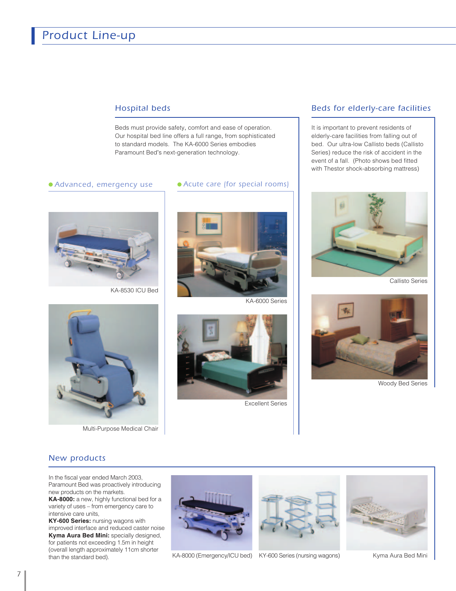### *Product Line-up*

#### *Hospital beds*

Beds must provide safety, comfort and ease of operation. Our hospital bed line offers a full range, from sophisticated to standard models. The KA-6000 Series embodies Paramount Bed's next-generation technology.

#### *Advanced*, *emergency use Acute care (for special rooms)*



KA-8530 ICU Bed



KA-6000 Series



Multi-Purpose Medical Chair



Excellent Series

#### *Beds for elderly-care facilities*

It is important to prevent residents of elderly-care facilities from falling out of bed. Our ultra-low Callisto beds (Callisto Series) reduce the risk of accident in the event of a fall. (Photo shows bed fitted with Thestor shock-absorbing mattress)



Callisto Series



Woody Bed Series

#### *New products*

In the fiscal year ended March 2003, Paramount Bed was proactively introducing new products on the markets.

**KA-8000:** a new, highly functional bed for a variety of uses – from emergency care to intensive care units,

**KY-600 Series:** nursing wagons with improved interface and reduced caster noise **Kyma Aura Bed Mini:** specially designed, for patients not exceeding 1.5m in height (overall length approximately 11cm shorter than the standard bed).







KA-8000 (Emergency/ICU bed) KY-600 Series (nursing wagons) Kyma Aura Bed Mini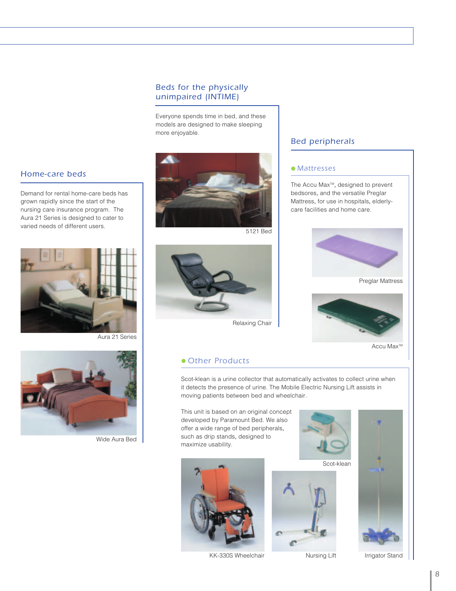#### *Beds for the physically unimpaired (INTIME)*

Everyone spends time in bed, and these models are designed to make sleeping more enjoyable.



Demand for rental home-care beds has grown rapidly since the start of the nursing care insurance program. The Aura 21 Series is designed to cater to varied needs of different users.



Aura 21 Series



Wide Aura Bed



5121 Bed



Relaxing Chair

#### *Other Products*

Scot-klean is a urine collector that automatically activates to collect urine when it detects the presence of urine. The Mobile Electric Nursing Lift assists in moving patients between bed and wheelchair.

This unit is based on an original concept developed by Paramount Bed. We also offer a wide range of bed peripherals, such as drip stands, designed to maximize usability.



KK-330S Wheelchair **Internal Stand** Nursing Lift **Internal Stand** 



Scot-klean





Nursing Lift

### The Accu Max<sup>™</sup>, designed to prevent bedsores, and the versatile Preglar

*Bed peripherals*

*Mattresses*

Mattress, for use in hospitals, elderlycare facilities and home care.



Preglar Mattress



Accu Max<sup>™</sup>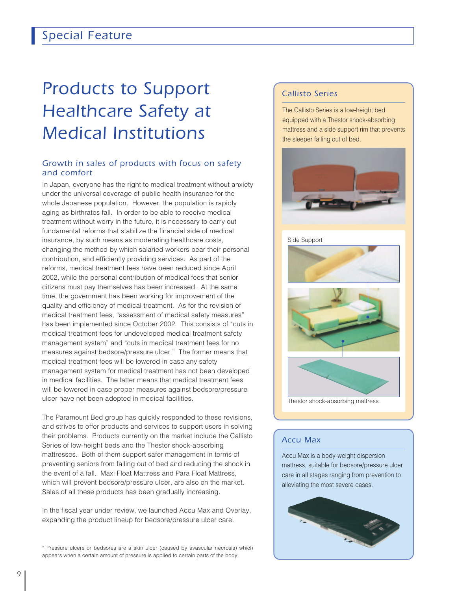## *Products to Support Healthcare Safety at Medical Institutions*

#### *Growth in sales of products with focus on safety and comfort*

In Japan, everyone has the right to medical treatment without anxiety under the universal coverage of public health insurance for the whole Japanese population. However, the population is rapidly aging as birthrates fall. In order to be able to receive medical treatment without worry in the future, it is necessary to carry out fundamental reforms that stabilize the financial side of medical insurance, by such means as moderating healthcare costs, changing the method by which salaried workers bear their personal contribution, and efficiently providing services. As part of the reforms, medical treatment fees have been reduced since April 2002, while the personal contribution of medical fees that senior citizens must pay themselves has been increased. At the same time, the government has been working for improvement of the quality and efficiency of medical treatment. As for the revision of medical treatment fees, "assessment of medical safety measures" has been implemented since October 2002. This consists of "cuts in medical treatment fees for undeveloped medical treatment safety management system" and "cuts in medical treatment fees for no measures against bedsore/pressure ulcer." The former means that medical treatment fees will be lowered in case any safety management system for medical treatment has not been developed in medical facilities. The latter means that medical treatment fees will be lowered in case proper measures against bedsore/pressure ulcer have not been adopted in medical facilities.

The Paramount Bed group has quickly responded to these revisions, and strives to offer products and services to support users in solving their problems. Products currently on the market include the Callisto Series of low-height beds and the Thestor shock-absorbing mattresses. Both of them support safer management in terms of preventing seniors from falling out of bed and reducing the shock in the event of a fall. Maxi Float Mattress and Para Float Mattress, which will prevent bedsore/pressure ulcer, are also on the market. Sales of all these products has been gradually increasing.

In the fiscal year under review, we launched Accu Max and Overlay, expanding the product lineup for bedsore/pressure ulcer care.

\* Pressure ulcers or bedsores are a skin ulcer (caused by avascular necrosis) which appears when a certain amount of pressure is applied to certain parts of the body.

#### *Callisto Series*

The Callisto Series is a low-height bed equipped with a Thestor shock-absorbing mattress and a side support rim that prevents the sleeper falling out of bed.



#### Side Support



#### *Accu Max*

Accu Max is a body-weight dispersion mattress, suitable for bedsore/pressure ulcer care in all stages ranging from prevention to alleviating the most severe cases.

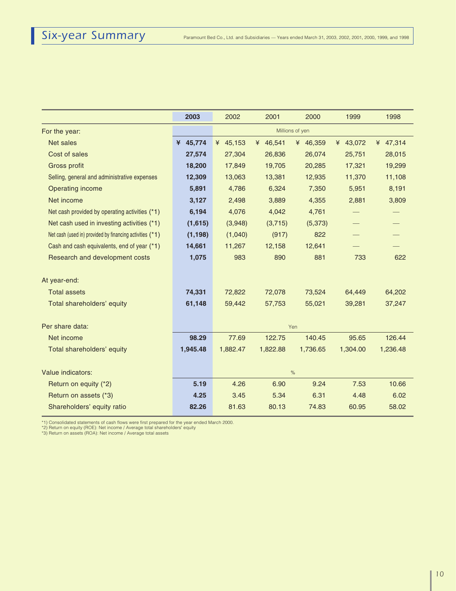|                                                          | 2003     | 2002     | 2001     | 2000            | 1999     | 1998     |
|----------------------------------------------------------|----------|----------|----------|-----------------|----------|----------|
| For the year:                                            |          |          |          | Millions of yen |          |          |
| Net sales                                                | ¥ 45,774 | ¥ 45,153 | ¥ 46,541 | ¥ 46,359        | ¥ 43,072 | ¥ 47,314 |
| Cost of sales                                            | 27,574   | 27,304   | 26,836   | 26,074          | 25,751   | 28,015   |
| <b>Gross profit</b>                                      | 18,200   | 17,849   | 19,705   | 20,285          | 17,321   | 19,299   |
| Selling, general and administrative expenses             | 12,309   | 13,063   | 13,381   | 12,935          | 11,370   | 11,108   |
| <b>Operating income</b>                                  | 5,891    | 4,786    | 6,324    | 7,350           | 5,951    | 8,191    |
| Net income                                               | 3,127    | 2,498    | 3,889    | 4,355           | 2,881    | 3,809    |
| Net cash provided by operating activities (*1)           | 6,194    | 4,076    | 4,042    | 4,761           |          |          |
| Net cash used in investing activities (*1)               | (1,615)  | (3,948)  | (3,715)  | (5, 373)        |          |          |
| Net cash (used in) provided by financing activities (*1) | (1, 198) | (1,040)  | (917)    | 822             |          |          |
| Cash and cash equivalents, end of year (*1)              | 14,661   | 11,267   | 12,158   | 12,641          |          |          |
| Research and development costs                           | 1,075    | 983      | 890      | 881             | 733      | 622      |
|                                                          |          |          |          |                 |          |          |
| At year-end:                                             |          |          |          |                 |          |          |
| <b>Total assets</b>                                      | 74,331   | 72,822   | 72,078   | 73,524          | 64,449   | 64,202   |
| Total shareholders' equity                               | 61,148   | 59,442   | 57,753   | 55,021          | 39,281   | 37,247   |
|                                                          |          |          |          |                 |          |          |
| Per share data:                                          |          |          |          | Yen             |          |          |
| Net income                                               | 98.29    | 77.69    | 122.75   | 140.45          | 95.65    | 126.44   |
| Total shareholders' equity                               | 1,945.48 | 1,882.47 | 1,822.88 | 1,736.65        | 1,304.00 | 1,236.48 |
|                                                          |          |          |          |                 |          |          |
| Value indicators:                                        |          |          | $\%$     |                 |          |          |
| Return on equity (*2)                                    | 5.19     | 4.26     | 6.90     | 9.24            | 7.53     | 10.66    |
| Return on assets (*3)                                    | 4.25     | 3.45     | 5.34     | 6.31            | 4.48     | 6.02     |
| Shareholders' equity ratio                               | 82.26    | 81.63    | 80.13    | 74.83           | 60.95    | 58.02    |

\*1) Consolidated statements of cash flows were first prepared for the year ended March 2000.<br>\*2) Return on equity (ROE): Net income / Average total shareholders' equity<br>\*3) Return on assets (ROA): Net income / Average tota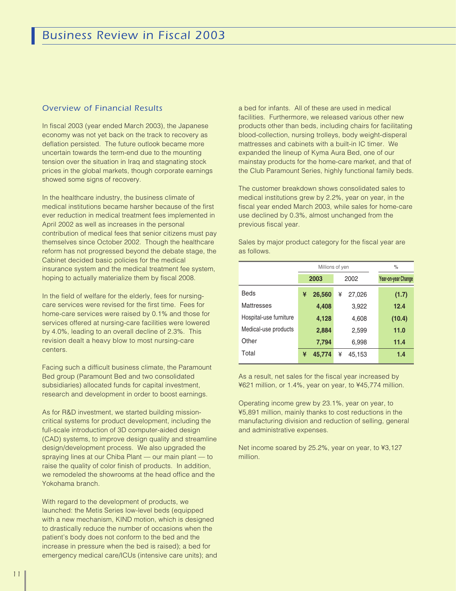#### *Overview of Financial Results*

In fiscal 2003 (year ended March 2003), the Japanese economy was not yet back on the track to recovery as deflation persisted. The future outlook became more uncertain towards the term-end due to the mounting tension over the situation in Iraq and stagnating stock prices in the global markets, though corporate earnings showed some signs of recovery.

In the healthcare industry, the business climate of medical institutions became harsher because of the first ever reduction in medical treatment fees implemented in April 2002 as well as increases in the personal contribution of medical fees that senior citizens must pay themselves since October 2002. Though the healthcare reform has not progressed beyond the debate stage, the Cabinet decided basic policies for the medical insurance system and the medical treatment fee system, hoping to actually materialize them by fiscal 2008.

In the field of welfare for the elderly, fees for nursingcare services were revised for the first time. Fees for home-care services were raised by 0.1% and those for services offered at nursing-care facilities were lowered by 4.0%, leading to an overall decline of 2.3%. This revision dealt a heavy blow to most nursing-care centers.

Facing such a difficult business climate, the Paramount Bed group (Paramount Bed and two consolidated subsidiaries) allocated funds for capital investment, research and development in order to boost earnings.

As for R&D investment, we started building missioncritical systems for product development, including the full-scale introduction of 3D computer-aided design (CAD) systems, to improve design quality and streamline design/development process. We also upgraded the spraying lines at our Chiba Plant — our main plant — to raise the quality of color finish of products. In addition, we remodeled the showrooms at the head office and the Yokohama branch.

With regard to the development of products, we launched: the Metis Series low-level beds (equipped with a new mechanism, KIND motion, which is designed to drastically reduce the number of occasions when the patient's body does not conform to the bed and the increase in pressure when the bed is raised); a bed for emergency medical care/ICUs (intensive care units); and a bed for infants. All of these are used in medical facilities. Furthermore, we released various other new products other than beds, including chairs for facilitating blood-collection, nursing trolleys, body weight-disperal mattresses and cabinets with a built-in IC timer. We expanded the lineup of Kyma Aura Bed, one of our mainstay products for the home-care market, and that of the Club Paramount Series, highly functional family beds.

The customer breakdown shows consolidated sales to medical institutions grew by 2.2%, year on year, in the fiscal year ended March 2003, while sales for home-care use declined by 0.3%, almost unchanged from the previous fiscal year.

Sales by major product category for the fiscal year are as follows.

|                        |   | Millions of yen |   | $\%$   |                     |
|------------------------|---|-----------------|---|--------|---------------------|
|                        |   | 2003            |   | 2002   | Year-on-year Change |
| Beds                   | ¥ | 26,560          | ¥ | 27,026 | (1.7)               |
| Mattresses             |   | 4,408           |   | 3,922  | 12.4                |
| Hospital-use furniture |   | 4,128           |   | 4,608  | (10.4)              |
| Medical-use products   |   | 2,884           |   | 2,599  | 11.0                |
| Other                  |   | 7,794           |   | 6,998  | 11.4                |
| Total                  | ¥ | 45.774          | ¥ | 45,153 | 1.4                 |

As a result, net sales for the fiscal year increased by ¥621 million, or 1.4%, year on year, to ¥45,774 million.

Operating income grew by 23.1%, year on year, to ¥5,891 million, mainly thanks to cost reductions in the manufacturing division and reduction of selling, general and administrative expenses.

Net income soared by 25.2%, year on year, to ¥3,127 million.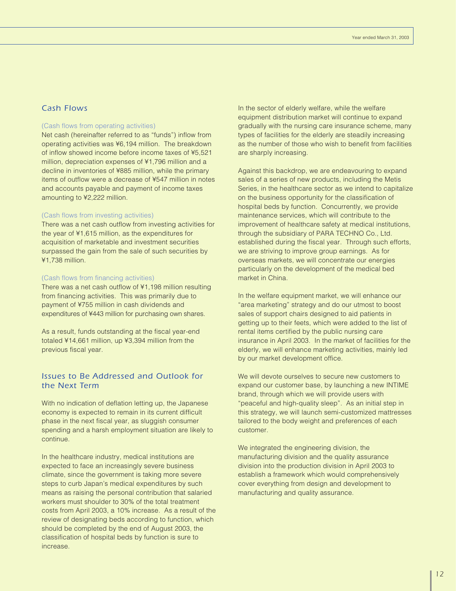### *Cash Flows*

#### (Cash flows from operating activities)

Net cash (hereinafter referred to as "funds") inflow from operating activities was ¥6,194 million. The breakdown of inflow showed income before income taxes of ¥5,521 million, depreciation expenses of ¥1,796 million and a decline in inventories of ¥885 million, while the primary items of outflow were a decrease of ¥547 million in notes and accounts payable and payment of income taxes amounting to ¥2,222 million.

#### (Cash flows from investing activities)

There was a net cash outflow from investing activities for the year of ¥1,615 million, as the expenditures for acquisition of marketable and investment securities surpassed the gain from the sale of such securities by ¥1,738 million.

#### (Cash flows from financing activities)

There was a net cash outflow of ¥1,198 million resulting from financing activities. This was primarily due to payment of ¥755 million in cash dividends and expenditures of ¥443 million for purchasing own shares.

As a result, funds outstanding at the fiscal year-end totaled ¥14,661 million, up ¥3,394 million from the previous fiscal year.

#### *Issues to Be Addressed and Outlook for the Next Term*

With no indication of deflation letting up, the Japanese economy is expected to remain in its current difficult phase in the next fiscal year, as sluggish consumer spending and a harsh employment situation are likely to continue.

In the healthcare industry, medical institutions are expected to face an increasingly severe business climate, since the government is taking more severe steps to curb Japan's medical expenditures by such means as raising the personal contribution that salaried workers must shoulder to 30% of the total treatment costs from April 2003, a 10% increase. As a result of the review of designating beds according to function, which should be completed by the end of August 2003, the classification of hospital beds by function is sure to increase.

In the sector of elderly welfare, while the welfare equipment distribution market will continue to expand gradually with the nursing care insurance scheme, many types of facilities for the elderly are steadily increasing as the number of those who wish to benefit from facilities are sharply increasing.

Against this backdrop, we are endeavouring to expand sales of a series of new products, including the Metis Series, in the healthcare sector as we intend to capitalize on the business opportunity for the classification of hospital beds by function. Concurrently, we provide maintenance services, which will contribute to the improvement of healthcare safety at medical institutions, through the subsidiary of PARA TECHNO Co., Ltd. established during the fiscal year. Through such efforts, we are striving to improve group earnings. As for overseas markets, we will concentrate our energies particularly on the development of the medical bed market in China.

In the welfare equipment market, we will enhance our "area marketing" strategy and do our utmost to boost sales of support chairs designed to aid patients in getting up to their feets, which were added to the list of rental items certified by the public nursing care insurance in April 2003. In the market of facilities for the elderly, we will enhance marketing activities, mainly led by our market development office.

We will devote ourselves to secure new customers to expand our customer base, by launching a new INTIME brand, through which we will provide users with "peaceful and high-quality sleep". As an initial step in this strategy, we will launch semi-customized mattresses tailored to the body weight and preferences of each customer.

We integrated the engineering division, the manufacturing division and the quality assurance division into the production division in April 2003 to establish a framework which would comprehensively cover everything from design and development to manufacturing and quality assurance.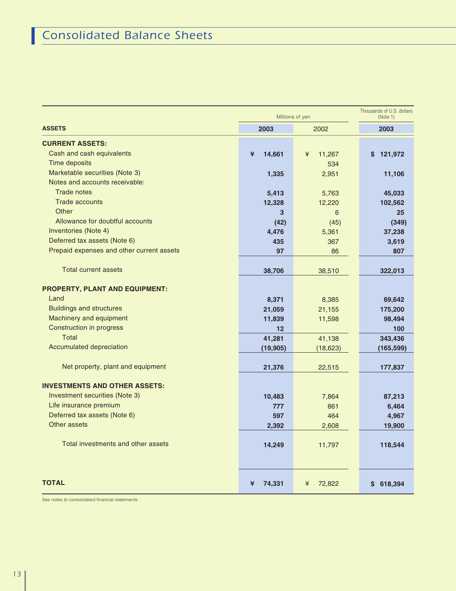|                                           | Millions of yen | Thousands of U.S. dollars<br>(Note 1) |               |
|-------------------------------------------|-----------------|---------------------------------------|---------------|
| <b>ASSETS</b>                             | 2003            | 2002                                  | 2003          |
| <b>CURRENT ASSETS:</b>                    |                 |                                       |               |
| Cash and cash equivalents                 | 14,661<br>¥     | 11,267<br>¥                           | 121,972<br>S. |
| Time deposits                             |                 | 534                                   |               |
| Marketable securities (Note 3)            | 1,335           | 2,951                                 | 11,106        |
| Notes and accounts receivable:            |                 |                                       |               |
| <b>Trade notes</b>                        | 5,413           | 5,763                                 | 45,033        |
| <b>Trade accounts</b>                     | 12,328          | 12,220                                | 102,562       |
| Other                                     | 3               | 6                                     | 25            |
| Allowance for doubtful accounts           | (42)            | (45)                                  | (349)         |
| Inventories (Note 4)                      | 4,476           | 5,361                                 | 37,238        |
| Deferred tax assets (Note 6)              | 435             | 367                                   | 3,619         |
| Prepaid expenses and other current assets | 97              | 86                                    | 807           |
|                                           |                 |                                       |               |
| <b>Total current assets</b>               | 38,706          | 38,510                                | 322,013       |
| PROPERTY, PLANT AND EQUIPMENT:            |                 |                                       |               |
| Land                                      | 8,371           | 8,385                                 | 69,642        |
| <b>Buildings and structures</b>           | 21,059          | 21,155                                | 175,200       |
| Machinery and equipment                   | 11,839          | 11,598                                | 98,494        |
| <b>Construction in progress</b>           | 12              |                                       | 100           |
| Total                                     | 41,281          | 41,138                                | 343,436       |
| Accumulated depreciation                  | (19, 905)       | (18, 623)                             | (165, 599)    |
| Net property, plant and equipment         | 21,376          | 22,515                                | 177,837       |
|                                           |                 |                                       |               |
| <b>INVESTMENTS AND OTHER ASSETS:</b>      |                 |                                       |               |
| Investment securities (Note 3)            | 10,483          | 7,864                                 | 87,213        |
| Life insurance premium                    | 777             | 861                                   | 6,464         |
| Deferred tax assets (Note 6)              | 597             | 464                                   | 4,967         |
| Other assets                              | 2,392           | 2,608                                 | 19,900        |
| Total investments and other assets        | 14,249          | 11,797                                | 118,544       |
| <b>TOTAL</b>                              | ¥<br>74,331     | ¥<br>72,822                           | \$618,394     |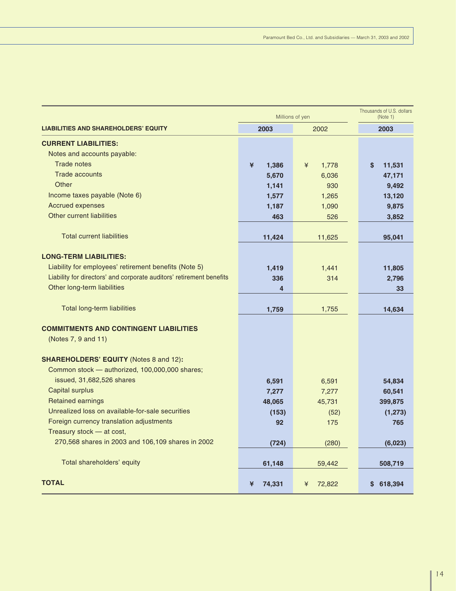|                                                                      | Millions of yen | Thousands of U.S. dollars<br>(Note 1) |              |  |
|----------------------------------------------------------------------|-----------------|---------------------------------------|--------------|--|
| <b>LIABILITIES AND SHAREHOLDERS' EQUITY</b>                          | 2003            | 2002                                  | 2003         |  |
| <b>CURRENT LIABILITIES:</b>                                          |                 |                                       |              |  |
| Notes and accounts payable:                                          |                 |                                       |              |  |
| <b>Trade notes</b>                                                   | ¥<br>1,386      | ¥<br>1,778                            | \$<br>11,531 |  |
| <b>Trade accounts</b>                                                | 5,670           | 6,036                                 | 47,171       |  |
| Other                                                                | 1,141           | 930                                   | 9,492        |  |
| Income taxes payable (Note 6)                                        | 1,577           | 1,265                                 | 13,120       |  |
| <b>Accrued expenses</b>                                              | 1,187           | 1,090                                 | 9,875        |  |
| Other current liabilities                                            | 463             | 526                                   | 3,852        |  |
| <b>Total current liabilities</b>                                     | 11,424          | 11,625                                | 95,041       |  |
|                                                                      |                 |                                       |              |  |
| <b>LONG-TERM LIABILITIES:</b>                                        |                 |                                       |              |  |
| Liability for employees' retirement benefits (Note 5)                | 1,419           | 1,441                                 | 11,805       |  |
| Liability for directors' and corporate auditors' retirement benefits | 336             | 314                                   | 2,796        |  |
| Other long-term liabilities                                          | 4               |                                       | 33           |  |
|                                                                      |                 |                                       |              |  |
| <b>Total long-term liabilities</b>                                   | 1,759           | 1,755                                 | 14,634       |  |
| <b>COMMITMENTS AND CONTINGENT LIABILITIES</b>                        |                 |                                       |              |  |
| (Notes 7, 9 and 11)                                                  |                 |                                       |              |  |
| <b>SHAREHOLDERS' EQUITY (Notes 8 and 12):</b>                        |                 |                                       |              |  |
| Common stock - authorized, 100,000,000 shares;                       |                 |                                       |              |  |
| issued, 31,682,526 shares                                            | 6,591           | 6,591                                 | 54,834       |  |
| <b>Capital surplus</b>                                               | 7,277           | 7,277                                 | 60,541       |  |
| <b>Retained earnings</b>                                             | 48,065          | 45,731                                | 399,875      |  |
| Unrealized loss on available-for-sale securities                     | (153)           | (52)                                  | (1, 273)     |  |
| Foreign currency translation adjustments                             | 92              | 175                                   | 765          |  |
| Treasury stock - at cost,                                            |                 |                                       |              |  |
| 270,568 shares in 2003 and 106,109 shares in 2002                    | (724)           | (280)                                 | (6,023)      |  |
| Total shareholders' equity                                           | 61,148          | 59,442                                | 508,719      |  |
| <b>TOTAL</b>                                                         | ¥<br>74,331     | 72,822<br>¥                           | \$618,394    |  |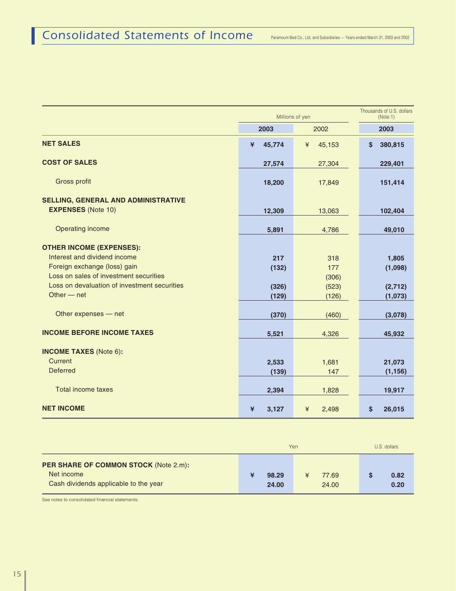|                                              |             | Millions of yen | Thousands of U.S. dollars<br>(Note 1) |
|----------------------------------------------|-------------|-----------------|---------------------------------------|
|                                              | 2003        | 2002            | 2003                                  |
| <b>NET SALES</b>                             | ¥<br>45,774 | 45,153<br>¥     | \$<br>380,815                         |
| <b>COST OF SALES</b>                         | 27,574      | 27,304          | 229,401                               |
| <b>Gross profit</b>                          | 18,200      | 17,849          | 151,414                               |
| <b>SELLING, GENERAL AND ADMINISTRATIVE</b>   |             |                 |                                       |
| <b>EXPENSES (Note 10)</b>                    | 12,309      | 13,063          | 102,404                               |
| Operating income                             | 5,891       | 4,786           | 49,010                                |
| <b>OTHER INCOME (EXPENSES):</b>              |             |                 |                                       |
| Interest and dividend income                 | 217         | 318             | 1,805                                 |
| Foreign exchange (loss) gain                 | (132)       | 177             | (1,098)                               |
| Loss on sales of investment securities       |             | (306)           |                                       |
| Loss on devaluation of investment securities | (326)       | (523)           | (2,712)                               |
| Other $-$ net                                | (129)       | (126)           | (1,073)                               |
| Other expenses - net                         | (370)       | (460)           | (3,078)                               |
| <b>INCOME BEFORE INCOME TAXES</b>            | 5,521       | 4,326           | 45,932                                |
|                                              |             |                 |                                       |
| <b>INCOME TAXES (Note 6):</b><br>Current     |             |                 |                                       |
| <b>Deferred</b>                              | 2,533       | 1,681           | 21,073                                |
|                                              | (139)       | 147             | (1, 156)                              |
| Total income taxes                           | 2,394       | 1,828           | 19,917                                |
| <b>NET INCOME</b>                            | ¥<br>3,127  | ¥<br>2,498      | \$<br>26,015                          |

|                                                                                                     | Yen            | U.S. dollars |                |              |
|-----------------------------------------------------------------------------------------------------|----------------|--------------|----------------|--------------|
| <b>PER SHARE OF COMMON STOCK (Note 2.m):</b><br>Net income<br>Cash dividends applicable to the year | 98.29<br>24.00 |              | 77.69<br>24.00 | 0.82<br>0.20 |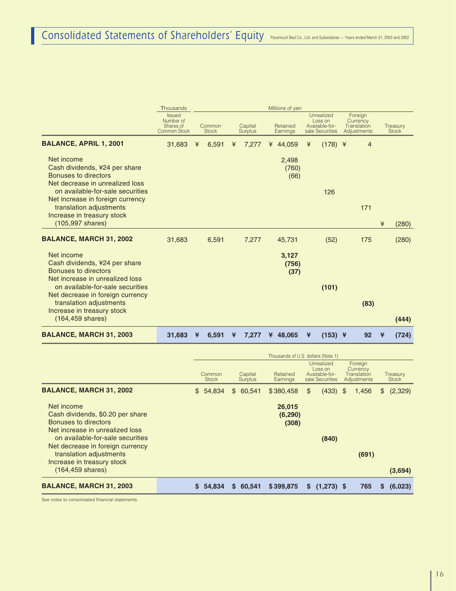|                                                                                                                               | Thousands                                                      |   |                        |   |                           | Millions of yen        |   |                                                            |                                                   |   |                          |
|-------------------------------------------------------------------------------------------------------------------------------|----------------------------------------------------------------|---|------------------------|---|---------------------------|------------------------|---|------------------------------------------------------------|---------------------------------------------------|---|--------------------------|
|                                                                                                                               | <b>Issued</b><br>Number of<br>Shares of<br><b>Common Stock</b> |   | Common<br><b>Stock</b> |   | Capital<br><b>Surplus</b> | Retained<br>Earnings   |   | Unrealized<br>Loss on<br>Available-for-<br>sale Securities | Foreign<br>Currency<br>Translation<br>Adjustments |   | Treasury<br><b>Stock</b> |
| <b>BALANCE, APRIL 1, 2001</b>                                                                                                 | 31,683                                                         | ¥ | 6,591                  | ¥ | 7,277                     | ¥ 44,059               | ¥ | $(178)$ ¥                                                  | $\overline{4}$                                    |   |                          |
| Net income<br>Cash dividends, ¥24 per share<br>Bonuses to directors<br>Net decrease in unrealized loss                        |                                                                |   |                        |   |                           | 2,498<br>(760)<br>(66) |   |                                                            |                                                   |   |                          |
| on available-for-sale securities<br>Net increase in foreign currency<br>translation adjustments<br>Increase in treasury stock |                                                                |   |                        |   |                           |                        |   | 126                                                        | 171                                               |   |                          |
| $(105,997 \text{ shares})$                                                                                                    |                                                                |   |                        |   |                           |                        |   |                                                            |                                                   | ¥ | (280)                    |
| <b>BALANCE, MARCH 31, 2002</b>                                                                                                | 31,683                                                         |   | 6,591                  |   | 7,277                     | 45,731                 |   | (52)                                                       | 175                                               |   | (280)                    |
| Net income<br>Cash dividends, ¥24 per share<br>Bonuses to directors<br>Net increase in unrealized loss                        |                                                                |   |                        |   |                           | 3,127<br>(756)<br>(37) |   |                                                            |                                                   |   |                          |
| on available-for-sale securities<br>Net decrease in foreign currency<br>translation adjustments                               |                                                                |   |                        |   |                           |                        |   | (101)                                                      | (83)                                              |   |                          |
| Increase in treasury stock<br>$(164, 459 \text{ shares})$                                                                     |                                                                |   |                        |   |                           |                        |   |                                                            |                                                   |   | (444)                    |
| <b>BALANCE, MARCH 31, 2003</b>                                                                                                | 31,683                                                         | ¥ | 6,591                  | ¥ | 7,277                     | ¥ 48,065               | ¥ | $(153)$ ¥                                                  | 92                                                | ¥ | (724)                    |

|                                                                                                                                                                                                                                            | Thousands of U.S. dollars (Note 1) |                        |    |                    |                             |    |                                                            |  |                                                   |    |                          |
|--------------------------------------------------------------------------------------------------------------------------------------------------------------------------------------------------------------------------------------------|------------------------------------|------------------------|----|--------------------|-----------------------------|----|------------------------------------------------------------|--|---------------------------------------------------|----|--------------------------|
|                                                                                                                                                                                                                                            |                                    | Common<br><b>Stock</b> |    | Capital<br>Surplus | Retained<br>Earnings        |    | Unrealized<br>Loss on<br>Available-for-<br>sale Securities |  | Foreign<br>Currency<br>Translation<br>Adjustments |    | Treasury<br><b>Stock</b> |
| <b>BALANCE, MARCH 31, 2002</b>                                                                                                                                                                                                             | $\mathbb{S}$                       | 54,834                 | \$ | 60,541             | \$380,458                   | \$ | $(433)$ \$                                                 |  | 1,456                                             | \$ | (2,329)                  |
| Net income<br>Cash dividends, \$0.20 per share<br>Bonuses to directors<br>Net increase in unrealized loss<br>on available-for-sale securities<br>Net decrease in foreign currency<br>translation adjustments<br>Increase in treasury stock |                                    |                        |    |                    | 26,015<br>(6, 290)<br>(308) |    | (840)                                                      |  | (691)                                             |    |                          |
| $(164, 459 \text{ shares})$                                                                                                                                                                                                                |                                    |                        |    |                    |                             |    |                                                            |  |                                                   |    | (3,694)                  |
| <b>BALANCE, MARCH 31, 2003</b>                                                                                                                                                                                                             | S.                                 | 54,834                 |    | \$60,541           | \$399,875                   | S  | $(1,273)$ \$                                               |  | 765                                               | S. | (6,023)                  |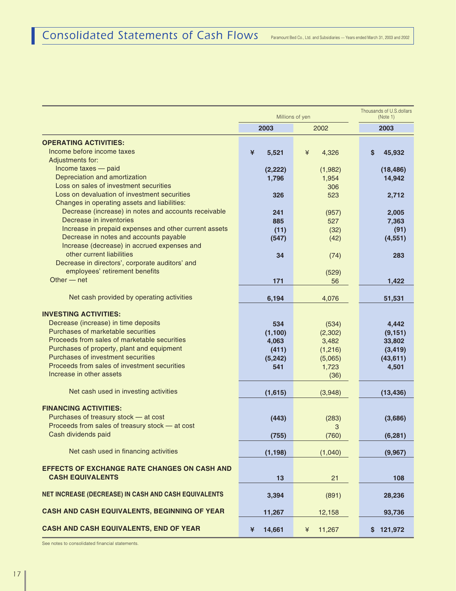|                                                                                                                                                                                                                                                                                                                            |                                                      | Millions of yen                                                   |                                                               |  |  |  |  |
|----------------------------------------------------------------------------------------------------------------------------------------------------------------------------------------------------------------------------------------------------------------------------------------------------------------------------|------------------------------------------------------|-------------------------------------------------------------------|---------------------------------------------------------------|--|--|--|--|
|                                                                                                                                                                                                                                                                                                                            | 2003                                                 | 2002                                                              | 2003                                                          |  |  |  |  |
| <b>OPERATING ACTIVITIES:</b><br>Income before income taxes<br>Adjustments for:                                                                                                                                                                                                                                             | 5,521<br>¥                                           | ¥<br>4,326                                                        | 45,932<br>S                                                   |  |  |  |  |
| Income taxes - paid<br>Depreciation and amortization<br>Loss on sales of investment securities                                                                                                                                                                                                                             | (2, 222)<br>1,796                                    | (1,982)<br>1,954<br>306                                           | (18, 486)<br>14,942                                           |  |  |  |  |
| Loss on devaluation of investment securities<br>Changes in operating assets and liabilities:<br>Decrease (increase) in notes and accounts receivable                                                                                                                                                                       | 326                                                  | 523                                                               | 2,712                                                         |  |  |  |  |
| Decrease in inventories<br>Increase in prepaid expenses and other current assets<br>Decrease in notes and accounts payable                                                                                                                                                                                                 | 241<br>885<br>(11)<br>(547)                          | (957)<br>527<br>(32)<br>(42)                                      | 2,005<br>7,363<br>(91)<br>(4, 551)                            |  |  |  |  |
| Increase (decrease) in accrued expenses and<br>other current liabilities                                                                                                                                                                                                                                                   | 34                                                   | (74)                                                              | 283                                                           |  |  |  |  |
| Decrease in directors', corporate auditors' and<br>employees' retirement benefits<br>Other $-$ net                                                                                                                                                                                                                         | 171                                                  | (529)<br>56                                                       | 1,422                                                         |  |  |  |  |
| Net cash provided by operating activities                                                                                                                                                                                                                                                                                  | 6,194                                                | 4,076                                                             | 51,531                                                        |  |  |  |  |
| <b>INVESTING ACTIVITIES:</b><br>Decrease (increase) in time deposits<br>Purchases of marketable securities<br>Proceeds from sales of marketable securities<br>Purchases of property, plant and equipment<br>Purchases of investment securities<br>Proceeds from sales of investment securities<br>Increase in other assets | 534<br>(1, 100)<br>4,063<br>(411)<br>(5, 242)<br>541 | (534)<br>(2, 302)<br>3,482<br>(1,216)<br>(5,065)<br>1,723<br>(36) | 4,442<br>(9, 151)<br>33,802<br>(3, 419)<br>(43, 611)<br>4,501 |  |  |  |  |
| Net cash used in investing activities                                                                                                                                                                                                                                                                                      | (1,615)                                              | (3,948)                                                           | (13, 436)                                                     |  |  |  |  |
| <b>FINANCING ACTIVITIES:</b><br>Purchases of treasury stock - at cost<br>Proceeds from sales of treasury stock - at cost<br>Cash dividends paid                                                                                                                                                                            | (443)<br>(755)                                       | (283)<br>3<br>(760)                                               | (3,686)<br>(6, 281)                                           |  |  |  |  |
| Net cash used in financing activities                                                                                                                                                                                                                                                                                      | (1, 198)                                             | (1,040)                                                           | (9,967)                                                       |  |  |  |  |
| <b>EFFECTS OF EXCHANGE RATE CHANGES ON CASH AND</b><br><b>CASH EQUIVALENTS</b>                                                                                                                                                                                                                                             | 13                                                   | 21                                                                | 108                                                           |  |  |  |  |
| NET INCREASE (DECREASE) IN CASH AND CASH EQUIVALENTS                                                                                                                                                                                                                                                                       | 3,394                                                | (891)                                                             | 28,236                                                        |  |  |  |  |
| CASH AND CASH EQUIVALENTS, BEGINNING OF YEAR                                                                                                                                                                                                                                                                               | 11,267                                               | 12,158                                                            | 93,736                                                        |  |  |  |  |
| CASH AND CASH EQUIVALENTS, END OF YEAR                                                                                                                                                                                                                                                                                     | 14,661<br>¥                                          | 11,267<br>¥                                                       | \$121,972                                                     |  |  |  |  |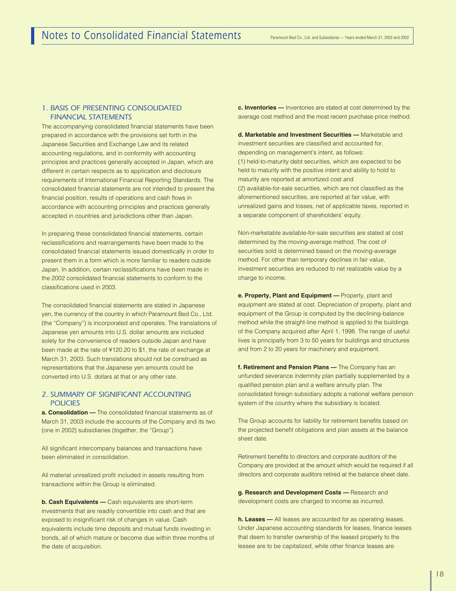#### *1. BASIS OF PRESENTING CONSOLIDATED FINANCIAL STATEMENTS*

The accompanying consolidated financial statements have been prepared in accordance with the provisions set forth in the Japanese Securities and Exchange Law and its related accounting regulations, and in conformity with accounting principles and practices generally accepted in Japan, which are different in certain respects as to application and disclosure requirements of International Financial Reporting Standards. The consolidated financial statements are not intended to present the financial position, results of operations and cash flows in accordance with accounting principles and practices generally accepted in countries and jurisdictions other than Japan.

In preparing these consolidated financial statements, certain reclassifications and rearrangements have been made to the consolidated financial statements issued domestically in order to present them in a form which is more familiar to readers outside Japan. In addition, certain reclassifications have been made in the 2002 consolidated financial statements to conform to the classifications used in 2003.

The consolidated financial statements are stated in Japanese yen, the currency of the country in which Paramount Bed Co., Ltd. (the "Company") is incorporated and operates. The translations of Japanese yen amounts into U.S. dollar amounts are included solely for the convenience of readers outside Japan and have been made at the rate of ¥120.20 to \$1, the rate of exchange at March 31, 2003. Such translations should not be construed as representations that the Japanese yen amounts could be converted into U.S. dollars at that or any other rate.

#### *2. SUMMARY OF SIGNIFICANT ACCOUNTING POLICIES*

**a. Consolidation —** The consolidated financial statements as of March 31, 2003 include the accounts of the Company and its two (one in 2002) subsidiaries (together, the "Group").

All significant intercompany balances and transactions have been eliminated in consolidation.

All material unrealized profit included in assets resulting from transactions within the Group is eliminated.

**b. Cash Equivalents —** Cash equivalents are short-term investments that are readily convertible into cash and that are exposed to insignificant risk of changes in value. Cash equivalents include time deposits and mutual funds investing in bonds, all of which mature or become due within three months of the date of acquisition.

**c. Inventories —** Inventories are stated at cost determined by the average cost method and the most recent purchase price method.

**d. Marketable and Investment Securities —** Marketable and investment securities are classified and accounted for, depending on management's intent, as follows: (1) held-to-maturity debt securities, which are expected to be held to maturity with the positive intent and ability to hold to maturity are reported at amortized cost and (2) available-for-sale securities, which are not classified as the aforementioned securities, are reported at fair value, with unrealized gains and losses, net of applicable taxes, reported in a separate component of shareholders' equity.

Non-marketable available-for-sale securities are stated at cost determined by the moving-average method. The cost of securities sold is determined based on the moving-average method. For other than temporary declines in fair value, investment securities are reduced to net realizable value by a charge to income.

**e. Property, Plant and Equipment —** Property, plant and equipment are stated at cost. Depreciation of property, plant and equipment of the Group is computed by the declining-balance method while the straight-line method is applied to the buildings of the Company acquired after April 1, 1998. The range of useful lives is principally from 3 to 50 years for buildings and structures and from 2 to 20 years for machinery and equipment.

**f. Retirement and Pension Plans —** The Company has an unfunded severance indemnity plan partially supplemented by a qualified pension plan and a welfare annuity plan. The consolidated foreign subsidiary adopts a national welfare pension system of the country where the subsidiary is located.

The Group accounts for liability for retirement benefits based on the projected benefit obligations and plan assets at the balance sheet date.

Retirement benefits to directors and corporate auditors of the Company are provided at the amount which would be required if all directors and corporate auditors retired at the balance sheet date.

**g. Research and Development Costs —** Research and development costs are charged to income as incurred.

**h. Leases —** All leases are accounted for as operating leases. Under Japanese accounting standards for leases, finance leases that deem to transfer ownership of the leased property to the lessee are to be capitalized, while other finance leases are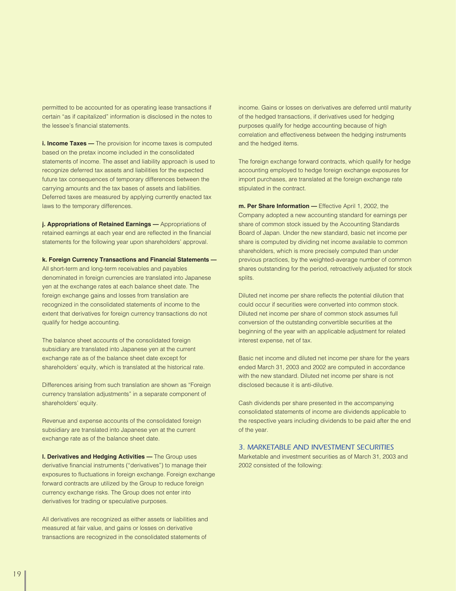permitted to be accounted for as operating lease transactions if certain "as if capitalized" information is disclosed in the notes to the lessee's financial statements.

**i. Income Taxes —** The provision for income taxes is computed based on the pretax income included in the consolidated statements of income. The asset and liability approach is used to recognize deferred tax assets and liabilities for the expected future tax consequences of temporary differences between the carrying amounts and the tax bases of assets and liabilities. Deferred taxes are measured by applying currently enacted tax laws to the temporary differences.

**j. Appropriations of Retained Earnings —** Appropriations of retained earnings at each year end are reflected in the financial statements for the following year upon shareholders' approval.

**k. Foreign Currency Transactions and Financial Statements —**

All short-term and long-term receivables and payables denominated in foreign currencies are translated into Japanese yen at the exchange rates at each balance sheet date. The foreign exchange gains and losses from translation are recognized in the consolidated statements of income to the extent that derivatives for foreign currency transactions do not qualify for hedge accounting.

The balance sheet accounts of the consolidated foreign subsidiary are translated into Japanese yen at the current exchange rate as of the balance sheet date except for shareholders' equity, which is translated at the historical rate.

Differences arising from such translation are shown as "Foreign currency translation adjustments" in a separate component of shareholders' equity.

Revenue and expense accounts of the consolidated foreign subsidiary are translated into Japanese yen at the current exchange rate as of the balance sheet date.

**l. Derivatives and Hedging Activities —** The Group uses derivative financial instruments ("derivatives") to manage their exposures to fluctuations in foreign exchange. Foreign exchange forward contracts are utilized by the Group to reduce foreign currency exchange risks. The Group does not enter into derivatives for trading or speculative purposes.

All derivatives are recognized as either assets or liabilities and measured at fair value, and gains or losses on derivative transactions are recognized in the consolidated statements of

income. Gains or losses on derivatives are deferred until maturity of the hedged transactions, if derivatives used for hedging purposes qualify for hedge accounting because of high correlation and effectiveness between the hedging instruments and the hedged items.

The foreign exchange forward contracts, which qualify for hedge accounting employed to hedge foreign exchange exposures for import purchases, are translated at the foreign exchange rate stipulated in the contract.

**m. Per Share Information —** Effective April 1, 2002, the Company adopted a new accounting standard for earnings per share of common stock issued by the Accounting Standards Board of Japan. Under the new standard, basic net income per share is computed by dividing net income available to common shareholders, which is more precisely computed than under previous practices, by the weighted-average number of common shares outstanding for the period, retroactively adjusted for stock splits.

Diluted net income per share reflects the potential dilution that could occur if securities were converted into common stock. Diluted net income per share of common stock assumes full conversion of the outstanding convertible securities at the beginning of the year with an applicable adjustment for related interest expense, net of tax.

Basic net income and diluted net income per share for the years ended March 31, 2003 and 2002 are computed in accordance with the new standard. Diluted net income per share is not disclosed because it is anti-dilutive.

Cash dividends per share presented in the accompanying consolidated statements of income are dividends applicable to the respective years including dividends to be paid after the end of the year.

#### *3. MARKETABLE AND INVESTMENT SECURITIES*

Marketable and investment securities as of March 31, 2003 and 2002 consisted of the following: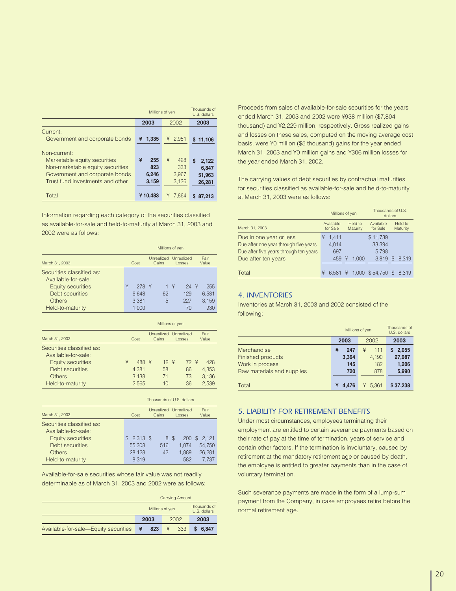|                                                                                                                                                        | Millions of yen                   | Thousands of<br>U.S. dollars      |                                         |
|--------------------------------------------------------------------------------------------------------------------------------------------------------|-----------------------------------|-----------------------------------|-----------------------------------------|
|                                                                                                                                                        | 2003                              | 2002                              | 2003                                    |
| Current:<br>Government and corporate bonds                                                                                                             | 1,335<br>¥                        | ¥ 2,951                           | 11,106<br>S                             |
| Non-current:<br>Marketable equity securities<br>Non-marketable equity securities<br>Government and corporate bonds<br>Trust fund investments and other | ¥<br>255<br>823<br>6,246<br>3,159 | ¥<br>428<br>333<br>3,967<br>3,136 | S<br>2,122<br>6.847<br>51,963<br>26,281 |
| Total                                                                                                                                                  | ¥10.483                           | ¥<br>7.864                        | 87.213<br>S                             |

Information regarding each category of the securities classified as available-for-sale and held-to-maturity at March 31, 2003 and 2002 were as follows:

|                                                  | Millions of yen |        |  |                     |                      |        |               |       |  |
|--------------------------------------------------|-----------------|--------|--|---------------------|----------------------|--------|---------------|-------|--|
| March 31, 2003                                   |                 | Cost   |  | Unrealized<br>Gains | Unrealized<br>Losses |        | Fair<br>Value |       |  |
| Securities classified as:<br>Available-for-sale: |                 |        |  |                     |                      |        |               |       |  |
| <b>Equity securities</b>                         | ¥               | $278*$ |  |                     | $1 \times$           | $24$ ¥ |               | 255   |  |
| Debt securities                                  |                 | 6.648  |  | 62                  |                      | 129    |               | 6.581 |  |
| Others                                           |                 | 3.381  |  | 5                   |                      | 227    |               | 3.159 |  |
| Held-to-maturity                                 |                 | 1.000  |  |                     |                      | 70     |               | 930   |  |

|                                                                       |   | Millions of yen |                     |                  |  |                      |  |                |
|-----------------------------------------------------------------------|---|-----------------|---------------------|------------------|--|----------------------|--|----------------|
| March 31, 2002                                                        |   | Cost            | Unrealized<br>Gains |                  |  | Unrealized<br>Losses |  | Fair<br>Value  |
| Securities classified as:<br>Available-for-sale:<br>Equity securities | ¥ | 488 ¥           |                     | $12 \frac{4}{5}$ |  | 72 ¥                 |  | 428            |
| Debt securities<br>Others                                             |   | 4.381<br>3.138  |                     | 58<br>71         |  | 86<br>73             |  | 4.353<br>3.136 |
| Held-to-maturity                                                      |   | 2.565           |                     | 10               |  | 36                   |  | 2.539          |

|                                                                                                                               | Thousands of U.S. dollars                      |                     |                                               |                                         |  |  |  |  |
|-------------------------------------------------------------------------------------------------------------------------------|------------------------------------------------|---------------------|-----------------------------------------------|-----------------------------------------|--|--|--|--|
| March 31, 2003<br>Cost                                                                                                        |                                                | Unrealized<br>Gains | Unrealized<br>Losses                          | Fair<br>Value                           |  |  |  |  |
| Securities classified as:<br>Available-for-sale:<br><b>Equity securities</b><br>Debt securities<br>Others<br>Held-to-maturity | $2.313$ \$<br>\$.<br>55,308<br>28.128<br>8.319 | 8<br>516<br>42      | $\mathcal{F}$<br>200<br>1.074<br>1.889<br>582 | 2.121<br>S<br>54.750<br>26.281<br>7.737 |  |  |  |  |

Available-for-sale securities whose fair value was not readily determinable as of March 31, 2003 and 2002 were as follows:

|                                      | <b>Carrying Amount</b> |                 |                              |  |  |
|--------------------------------------|------------------------|-----------------|------------------------------|--|--|
|                                      |                        | Millions of yen | Thousands of<br>U.S. dollars |  |  |
|                                      | 2003                   | 2002            | 2003                         |  |  |
| Available-for-sale-Equity securities | 823<br>¥               | 333             | \$6.847                      |  |  |

Proceeds from sales of available-for-sale securities for the years ended March 31, 2003 and 2002 were ¥938 million (\$7,804 thousand) and ¥2,229 million, respectively. Gross realized gains and losses on these sales, computed on the moving average cost basis, were ¥0 million (\$5 thousand) gains for the year ended March 31, 2003 and ¥0 million gains and ¥306 million losses for the year ended March 31, 2002.

The carrying values of debt securities by contractual maturities for securities classified as available-for-sale and held-to-maturity at March 31, 2003 were as follows:

|                                                                  |   | Millions of yen       |   |                     | Thousands of U.S.     | dollars |                     |
|------------------------------------------------------------------|---|-----------------------|---|---------------------|-----------------------|---------|---------------------|
| March 31, 2003                                                   |   | Available<br>for Sale |   | Held to<br>Maturity | Available<br>for Sale |         | Held to<br>Maturity |
| Due in one year or less<br>Due after one year through five years | ¥ | 1.411<br>4.014        |   |                     | \$11,739<br>33,394    |         |                     |
| Due after five years through ten years                           |   | 697                   |   |                     | 5.798                 |         |                     |
| Due after ten years                                              |   | 459                   | ¥ | 1.000               | 3.819                 | \$.     | 8.319               |
| Total                                                            | ¥ | 6.581                 | ¥ |                     | $1.000$ \$54.750 \$   |         | 8.319               |

#### *4. INVENTORIES*

Inventories at March 31, 2003 and 2002 consisted of the following:

|                            |              | Millions of yen | Thousands of<br>U.S. dollars |
|----------------------------|--------------|-----------------|------------------------------|
|                            | 2003<br>2002 |                 | 2003                         |
| Merchandise                | ¥<br>247     | ¥<br>111        | 2,055                        |
| Finished products          | 3,364        | 4,190           | 27,987                       |
| Work in process            | 145          | 182             | 1,206                        |
| Raw materials and supplies | 720          | 878             | 5,990                        |
|                            |              |                 |                              |
| Total                      | 4.476<br>¥   | 5.361<br>¥      | \$37,238                     |

#### *5. LIABILITY FOR RETIREMENT BENEFITS*

Under most circumstances, employees terminating their employment are entitled to certain severance payments based on their rate of pay at the time of termination, years of service and certain other factors. If the termination is involuntary, caused by retirement at the mandatory retirement age or caused by death, the employee is entitled to greater payments than in the case of voluntary termination.

Such severance payments are made in the form of a lump-sum payment from the Company, in case emproyees retire before the normal retirement age.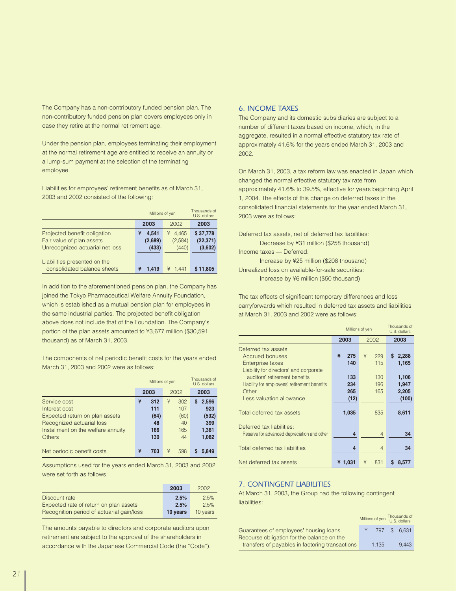The Company has a non-contributory funded pension plan. The non-contributory funded pension plan covers employees only in case they retire at the normal retirement age.

Under the pension plan, employees terminating their employment at the normal retirement age are entitled to receive an annuity or a lump-sum payment at the selection of the terminating employee.

Liabilities for emproyees' retirement benefits as of March 31, 2003 and 2002 consisted of the following:

|                                 | Millions of yen | Thousands of<br>U.S. dollars |           |  |
|---------------------------------|-----------------|------------------------------|-----------|--|
|                                 | 2003            | 2002                         | 2003      |  |
| Projected benefit obligation    | 4.541<br>¥      | 4.465<br>¥                   | \$37,778  |  |
| Fair value of plan assets       | (2,689)         | (2,584)                      | (22, 371) |  |
| Unrecognized actuarial net loss | (433)           | (440)                        | (3,602)   |  |
|                                 |                 |                              |           |  |
| Liabilities presented on the    |                 |                              |           |  |
| consolidated balance sheets     | 1.419<br>¥      | ¥ 1.441                      | \$11,805  |  |

In addition to the aforementioned pension plan, the Company has joined the Tokyo Pharmaceutical Welfare Annuity Foundation, which is established as a mutual pension plan for employees in the same industrial parties. The projected benefit obligation above does not include that of the Foundation. The Company's portion of the plan assets amounted to ¥3,677 million (\$30,591 thousand) as of March 31, 2003.

The components of net periodic benefit costs for the years ended March 31, 2003 and 2002 were as follows:

|                                    |   | Millions of yen |   |      |      | Thousands of<br>U.S. dollars |
|------------------------------------|---|-----------------|---|------|------|------------------------------|
|                                    |   | 2003<br>2002    |   |      | 2003 |                              |
| Service cost                       | ¥ | 312             | ¥ | 302  | s    | 2,596                        |
| Interest cost                      |   | 111             |   | 107  |      | 923                          |
| Expected return on plan assets     |   | (64)            |   | (60) |      | (532)                        |
| Recognized actuarial loss          |   | 48              |   | 40   |      | 399                          |
| Installment on the welfare annuity |   | 166             |   | 165  |      | 1,381                        |
| <b>Others</b>                      |   | 130             |   | 44   |      | 1,082                        |
| Net periodic benefit costs         | ¥ | 703             | ¥ | 598  | s    | 5.849                        |

Assumptions used for the years ended March 31, 2003 and 2002 were set forth as follows:

|                                           | 2003     | 2002     |
|-------------------------------------------|----------|----------|
| Discount rate                             | 2.5%     | 2.5%     |
| Expected rate of return on plan assets    | 2.5%     | 2.5%     |
| Recognition period of actuarial gain/loss | 10 years | 10 years |

The amounts payable to directors and corporate auditors upon retirement are subject to the approval of the shareholders in accordance with the Japanese Commercial Code (the "Code").

#### *6. INCOME TAXES*

The Company and its domestic subsidiaries are subject to a number of different taxes based on income, which, in the aggregate, resulted in a normal effective statutory tax rate of approximately 41.6% for the years ended March 31, 2003 and 2002.

On March 31, 2003, a tax reform law was enacted in Japan which changed the normal effective statutory tax rate from approximately 41.6% to 39.5%, effective for years beginning April 1, 2004. The effects of this change on deferred taxes in the consolidated financial statements for the year ended March 31, 2003 were as follows:

Deferred tax assets, net of deferred tax liabilities: Decrease by ¥31 million (\$258 thousand)

Income taxes — Deferred:

Increase by ¥25 million (\$208 thousand) Unrealized loss on available-for-sale securities: Increase by ¥6 million (\$50 thousand)

The tax effects of significant temporary differences and loss carryforwards which resulted in deferred tax assets and liabilities at March 31, 2003 and 2002 were as follows:

|                                              |         | Millions of yen<br>2003<br>2002<br>¥<br>¥<br>275<br>140<br>133<br>234<br>265<br>(12) |            |  |
|----------------------------------------------|---------|--------------------------------------------------------------------------------------|------------|--|
|                                              |         |                                                                                      |            |  |
| Deferred tax assets:                         |         |                                                                                      |            |  |
| <b>Accrued bonuses</b>                       |         | 229                                                                                  | S<br>2,288 |  |
| Enterprise taxes                             |         | 115                                                                                  | 1,165      |  |
| Liability for directors' and corporate       |         |                                                                                      |            |  |
| auditors' retirement benefits                |         | 130                                                                                  | 1,106      |  |
| Liability for employees' retirement benefits |         | 196                                                                                  | 1,947      |  |
| Other                                        |         | 165                                                                                  | 2,205      |  |
| Less valuation allowance                     |         |                                                                                      | (100)      |  |
|                                              |         |                                                                                      |            |  |
| Total deferred tax assets                    | 1,035   | 835                                                                                  | 8,611      |  |
|                                              |         |                                                                                      |            |  |
| Deferred tax liabilities:                    |         |                                                                                      |            |  |
| Reserve for advanced depreciation and other  | 4       | $\overline{4}$                                                                       | 34         |  |
|                                              |         |                                                                                      |            |  |
| Total deferred tax liabilities               | 4       | $\overline{4}$                                                                       | 34         |  |
|                                              |         |                                                                                      |            |  |
| Net deferred tax assets                      | ¥ 1.031 | ¥<br>831                                                                             | S<br>8.577 |  |

#### *7. CONTINGENT LIABILITIES*

At March 31, 2003, the Group had the following contingent liabilities:

|                                                                                      |       | Millions of yen Thousands of<br>U.S. dollars |
|--------------------------------------------------------------------------------------|-------|----------------------------------------------|
| Guarantees of employees' housing loans<br>Recourse obligation for the balance on the | 797   | \$ 6.631                                     |
| transfers of payables in factoring transactions                                      | 1.135 | 9.443                                        |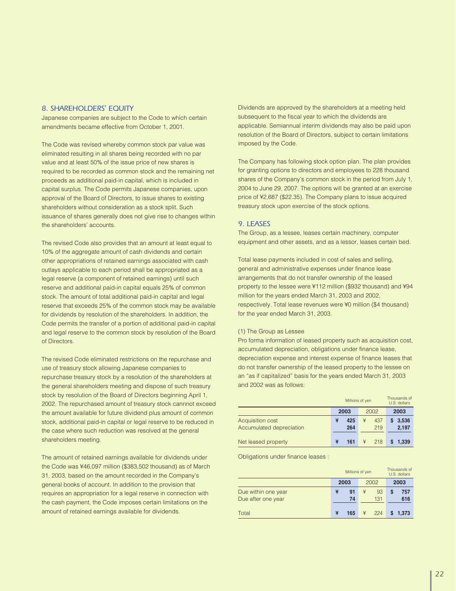#### *8. SHAREHOLDERS*' *EQUITY*

Japanese companies are subject to the Code to which certain amendments became effective from October 1, 2001.

The Code was revised whereby common stock par value was eliminated resulting in all shares being recorded with no par value and at least 50% of the issue price of new shares is required to be recorded as common stock and the remaining net proceeds as additional paid-in capital, which is included in capital surplus. The Code permits Japanese companies, upon approval of the Board of Directors, to issue shares to existing shareholders without consideration as a stock split. Such issuance of shares generally does not give rise to changes within the shareholders' accounts.

The revised Code also provides that an amount at least equal to 10% of the aggregate amount of cash dividends and certain other appropriations of retained earnings associated with cash outlays applicable to each period shall be appropriated as a legal reserve (a component of retained earnings) until such reserve and additional paid-in capital equals 25% of common stock. The amount of total additional paid-in capital and legal reserve that exceeds 25% of the common stock may be available for dividends by resolution of the shareholders. In addition, the Code permits the transfer of a portion of additional paid-in capital and legal reserve to the common stock by resolution of the Board of Directors.

The revised Code eliminated restrictions on the repurchase and use of treasury stock allowing Japanese companies to repurchase treasury stock by a resolution of the shareholders at the general shareholders meeting and dispose of such treasury stock by resolution of the Board of Directors beginning April 1, 2002. The repurchased amount of treasury stock cannnot exceed the amount available for future dividend plus amount of common stock, additional paid-in capital or legal reserve to be reduced in the case where such reduction was resolved at the general shareholders meeting.

The amount of retained earnings available for dividends under the Code was ¥46,097 million (\$383,502 thousand) as of March 31, 2003, based on the amount recorded in the Company's general books of account. In addition to the provision that requires an appropriation for a legal reserve in connection with the cash payment, the Code imposes certain limitations on the amount of retained earnings available for dividends.

Dividends are approved by the shareholders at a meeting held subsequent to the fiscal year to which the dividends are applicable. Semiannual interim dividends may also be paid upon resolution of the Board of Directors, subject to certain limitations imposed by the Code.

The Company has following stock option plan. The plan provides for granting options to directors and employees to 228 thousand shares of the Company's common stock in the period from July 1, 2004 to June 29, 2007. The options will be granted at an exercise price of ¥2,687 (\$22.35). The Company plans to issue acquired treasury stock upon exercise of the stock options.

#### *9. LEASES*

The Group, as a lessee, leases certain machinery, computer equipment and other assets, and as a lessor, leases certain bed.

Total lease payments included in cost of sales and selling, general and administrative expenses under finance lease arrangements that do not transfer ownership of the leased property to the lessee were ¥112 million (\$932 thousand) and ¥94 million for the years ended March 31, 2003 and 2002, respectively. Total lease revenues were ¥0 million (\$4 thousand) for the year ended March 31, 2003.

#### (1) The Group as Lessee

Pro forma information of leased property such as acquisition cost, accumulated depreciation, obligations under finance lease, depreciation expense and interest expense of finance leases that do not transfer ownership of the leased property to the lessee on an "as if capitalized" basis for the years ended March 31, 2003 and 2002 was as follows:

|                                                     |                 | Millions of yen |                     |  |  |
|-----------------------------------------------------|-----------------|-----------------|---------------------|--|--|
|                                                     | 2003            | 2002            | 2003                |  |  |
| <b>Acquisition cost</b><br>Accumulated depreciation | ¥<br>425<br>264 | ¥<br>437<br>219 | 3,536<br>S<br>2,197 |  |  |
| Net leased property                                 | ¥<br>161        | 218             | 1.339               |  |  |

Obligations under finance leases :

|                                           | Millions of yen |          |   |           | Thousands of<br>U.S. dollars |            |  |
|-------------------------------------------|-----------------|----------|---|-----------|------------------------------|------------|--|
|                                           |                 | 2003     |   | 2002      |                              | 2003       |  |
| Due within one year<br>Due after one year | ¥               | 91<br>74 | ¥ | 93<br>131 | S                            | 757<br>616 |  |
| Total                                     | ¥               | 165      | ¥ | 224       |                              | 1.373      |  |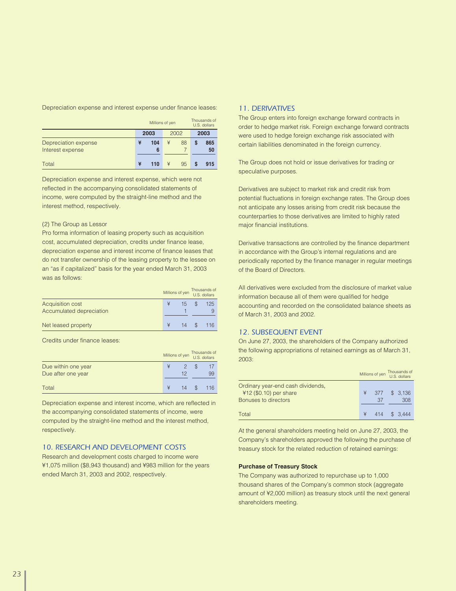Depreciation expense and interest expense under finance leases:

|                                          | Millions of yen |          |   | Thousands of<br>U.S. dollars |   |           |
|------------------------------------------|-----------------|----------|---|------------------------------|---|-----------|
|                                          |                 | 2003     |   | 2002                         |   | 2003      |
| Depreciation expense<br>Interest expense | ¥               | 104<br>6 | ¥ | 88                           | S | 865<br>50 |
| Total                                    | ¥               | 110      | ¥ | 95                           |   | 915       |

Depreciation expense and interest expense, which were not reflected in the accompanying consolidated statements of income, were computed by the straight-line method and the interest method, respectively.

#### (2) The Group as Lessor

Pro forma information of leasing property such as acquisition cost, accumulated depreciation, credits under finance lease, depreciation expense and interest income of finance leases that do not transfer ownership of the leasing property to the lessee on an "as if capitalized" basis for the year ended March 31, 2003 was as follows:

|                                              | Millions of yen |    | Thousands of<br>U.S. dollars |
|----------------------------------------------|-----------------|----|------------------------------|
| Acquisition cost<br>Accumulated depreciation |                 | 15 | 125                          |
| Net leased property                          |                 | 14 | 116                          |

Credits under finance leases:

|                     | Millions of yen |    |   | Thousands of<br>U.S. dollars |
|---------------------|-----------------|----|---|------------------------------|
| Due within one year |                 |    | S |                              |
| Due after one year  |                 | 12 |   | 99                           |
| Total               |                 | 14 |   | 116                          |

Depreciation expense and interest income, which are reflected in the accompanying consolidated statements of income, were computed by the straight-line method and the interest method, respectively.

#### *10. RESEARCH AND DEVELOPMENT COSTS*

Research and development costs charged to income were ¥1,075 million (\$8,943 thousand) and ¥983 million for the years ended March 31, 2003 and 2002, respectively.

#### *11. DERIVATIVES*

The Group enters into foreign exchange forward contracts in order to hedge market risk. Foreign exchange forward contracts were used to hedge foreign exchange risk associated with certain liabilities denominated in the foreign currency.

The Group does not hold or issue derivatives for trading or speculative purposes.

Derivatives are subject to market risk and credit risk from potential fluctuations in foreign exchange rates. The Group does not anticipate any losses arising from credit risk because the counterparties to those derivatives are limited to highly rated major financial institutions.

Derivative transactions are controlled by the finance department in accordance with the Group's internal regulations and are periodically reported by the finance manager in regular meetings of the Board of Directors.

All derivatives were excluded from the disclosure of market value information because all of them were qualified for hedge accounting and recorded on the consolidated balance sheets as of March 31, 2003 and 2002.

#### *12. SUBSEQUENT EVENT*

On June 27, 2003, the shareholders of the Company authorized the following appropriations of retained earnings as of March 31, 2003:

|                                                                                       |   | Millions of yen | Thousands of<br>U.S. dollars |
|---------------------------------------------------------------------------------------|---|-----------------|------------------------------|
| Ordinary year-end cash dividends,<br>$412$ (\$0.10) per share<br>Bonuses to directors | ¥ | 377<br>37       | \$ 3.136<br>308              |
| Total                                                                                 |   |                 | 414 \$ 3.444                 |

At the general shareholders meeting held on June 27, 2003, the Company's shareholders approved the following the purchase of treasury stock for the related reduction of retained earnings:

#### **Purchase of Treasury Stock**

The Company was authorized to repurchase up to 1,000 thousand shares of the Company's common stock (aggregate amount of ¥2,000 million) as treasury stock until the next general shareholders meeting.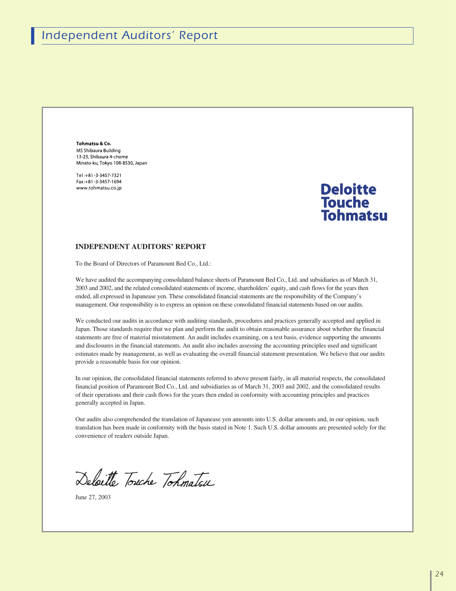Tohmatsu & Co. MS Shibaura Building 13-23. Shibaura 4-chome Minato-ku, Tokyo 108-8530, Japan

Tel:+81-3-3457-7321 Fax:+81-3-3457-1694 www.tohmatsu.co.in

### **Deloitte Touche** Tohmatsu

#### **INDEPENDENT AUDITORS' REPORT**

To the Board of Directors of Paramount Bed Co., Ltd.:

We have audited the accompanying consolidated balance sheets of Paramount Bed Co., Ltd. and subsidiaries as of March 31, 2003 and 2002, and the related consolidated statements of income, shareholders' equity, and cash flows for the years then ended, all expressed in Japanease yen. These consolidated financial statements are the responsibility of the Company's management. Our responsibility is to express an opinion on these consolidated financial statements based on our audits.

We conducted our audits in accordance with auditing standards, procedures and practices generally accepted and applied in Japan. Those standards require that we plan and perform the audit to obtain reasonable assurance about whether the financial statements are free of material misstatement. An audit includes examining, on a test basis, evidence supporting the amounts and disclosures in the financial statements. An audit also includes assessing the accounting principles used and significant estimates made by management, as well as evaluating the overall financial statement presentation. We believe that our audits provide a reasonable basis for our opinion.

In our opinion, the consolidated financial statements referred to above present fairly, in all material respects, the consolidated financial position of Paramount Bed Co., Ltd. and subsidiaries as of March 31, 2003 and 2002, and the consolidated results of their operations and their cash flows for the years then ended in conformity with accounting principles and practices generally accepted in Japan.

Our audits also comprehended the translation of Japanease yen amounts into U.S. dollar amounts and, in our opinion, such translation has been made in conformity with the basis stated in Note 1. Such U.S. dollar amounts are presented solely for the convenience of readers outside Japan.

Deloitte Touche Tohmatsu

June 27, 2003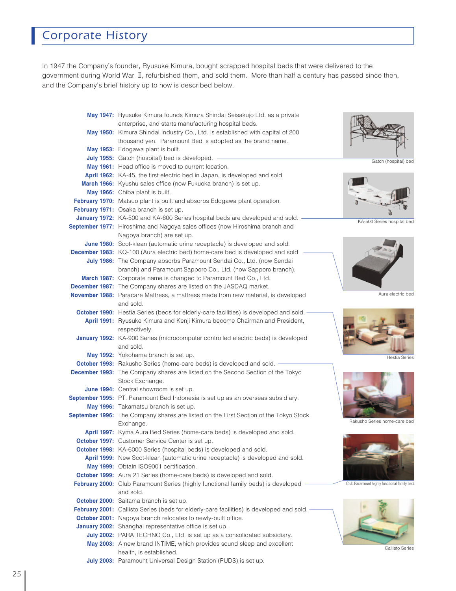## *Corporate History*

In 1947 the Company's founder, Ryusuke Kimura, bought scrapped hospital beds that were delivered to the government during World War II, refurbished them, and sold them. More than half a century has passed since then, and the Company's brief history up to now is described below.

| May 1947: Ryusuke Kimura founds Kimura Shindai Seisakujo Ltd. as a private               |                                             |
|------------------------------------------------------------------------------------------|---------------------------------------------|
| enterprise, and starts manufacturing hospital beds.                                      |                                             |
| May 1950: Kimura Shindai Industry Co., Ltd. is established with capital of 200           |                                             |
| thousand yen. Paramount Bed is adopted as the brand name.                                |                                             |
| May 1953: Edogawa plant is built.                                                        |                                             |
| July 1955: Gatch (hospital) bed is developed.                                            | Gatch (hospital) bed                        |
| May 1961: Head office is moved to current location.                                      |                                             |
| April 1962: KA-45, the first electric bed in Japan, is developed and sold.               |                                             |
| March 1966: Kyushu sales office (now Fukuoka branch) is set up.                          |                                             |
| May 1966: Chiba plant is built.                                                          |                                             |
| February 1970: Matsuo plant is built and absorbs Edogawa plant operation.                |                                             |
| February 1971: Osaka branch is set up.                                                   |                                             |
| January 1972: KA-500 and KA-600 Series hospital beds are developed and sold.             | KA-500 Series hospital bed                  |
| September 1977: Hiroshima and Nagoya sales offices (now Hiroshima branch and             |                                             |
| Nagoya branch) are set up.                                                               |                                             |
| June 1980: Scot-klean (automatic urine receptacle) is developed and sold.                |                                             |
| <b>December 1983:</b> KQ-100 (Aura electric bed) home-care bed is developed and sold.    |                                             |
| July 1986: The Company absorbs Paramount Sendai Co., Ltd. (now Sendai                    |                                             |
| branch) and Paramount Sapporo Co., Ltd. (now Sapporo branch).                            |                                             |
| March 1987: Corporate name is changed to Paramount Bed Co., Ltd.                         |                                             |
| <b>December 1987:</b> The Company shares are listed on the JASDAQ market.                |                                             |
| November 1988: Paracare Mattress, a mattress made from new material, is developed        | Aura electric bed                           |
| and sold.                                                                                |                                             |
| October 1990: Hestia Series (beds for elderly-care facilities) is developed and sold.    |                                             |
| April 1991: Ryusuke Kimura and Kenji Kimura become Chairman and President,               |                                             |
| respectively.                                                                            |                                             |
| January 1992: KA-900 Series (microcomputer controlled electric beds) is developed        |                                             |
| and sold.                                                                                |                                             |
| May 1992: Yokohama branch is set up.                                                     | <b>Hestia Series</b>                        |
| October 1993: Rakusho Series (home-care beds) is developed and sold.                     |                                             |
| December 1993: The Company shares are listed on the Second Section of the Tokyo          |                                             |
| Stock Exchange.                                                                          |                                             |
| June 1994: Central showroom is set up.                                                   |                                             |
| September 1995: PT. Paramount Bed Indonesia is set up as an overseas subsidiary.         |                                             |
| May 1996: Takamatsu branch is set up.                                                    |                                             |
| September 1996: The Company shares are listed on the First Section of the Tokyo Stock    |                                             |
| Exchange.                                                                                | Rakusho Series home-care bed                |
| April 1997: Kyma Aura Bed Series (home-care beds) is developed and sold.                 |                                             |
| October 1997: Customer Service Center is set up.                                         |                                             |
| October 1998: KA-6000 Series (hospital beds) is developed and sold.                      |                                             |
| April 1999: New Scot-klean (automatic urine receptacle) is developed and sold.           |                                             |
| May 1999: Obtain ISO9001 certification.                                                  |                                             |
| October 1999: Aura 21 Series (home-care beds) is developed and sold.                     |                                             |
| February 2000: Club Paramount Series (highly functional family beds) is developed        | Club Paramount highly functional family bed |
| and sold.                                                                                |                                             |
| October 2000: Saitama branch is set up.                                                  |                                             |
| February 2001: Callisto Series (beds for elderly-care facilities) is developed and sold. |                                             |
| October 2001: Nagoya branch relocates to newly-built office.                             |                                             |
| January 2002: Shanghai representative office is set up.                                  |                                             |
| July 2002: PARA TECHNO Co., Ltd. is set up as a consolidated subsidiary.                 |                                             |
| May 2003: A new brand INTIME, which provides sound sleep and excellent                   |                                             |
| health, is established.                                                                  | <b>Callisto Series</b>                      |
|                                                                                          |                                             |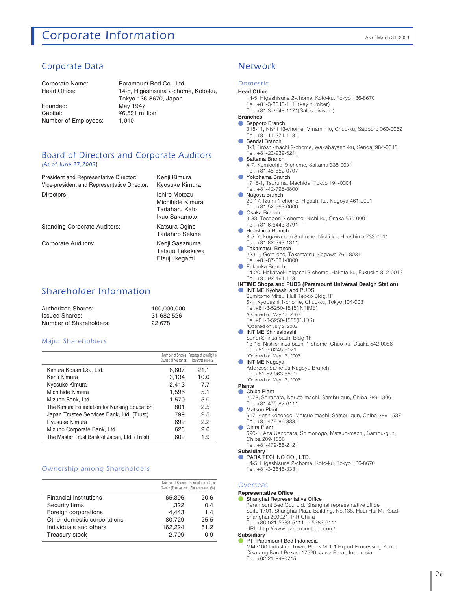### **Corporate Information** As of March 31, 2003

#### *Corporate Data Network*

Corporate Name: Head Office:

Founded: Capital: Number of Employees: Paramount Bed Co., Ltd. 14-5, Higashisuna 2-chome, Koto-ku, Tokyo 136-8670, Japan May 1947 ¥6,591 million 1,010

> Tadaharu Kato Ikuo Sakamoto Katsura Ogino Tadahiro Sekine Kenji Sasanuma Tetsuo Takekawa Etsuji Ikegami

#### *Board of Directors and Corporate Auditors (As of June 27,2003)*

| President and Representative Director:      | Kenji Kimura                      |
|---------------------------------------------|-----------------------------------|
| Vice-president and Representative Director: | Kyosuke Kimura                    |
| Directors:                                  | Ichiro Motozu<br>Michihide Kimura |

Standing Corporate Auditors:

Corporate Auditors:

#### *Shareholder Information*

| <b>Authorized Shares:</b> | 100.000.000 |
|---------------------------|-------------|
| <b>Issued Shares:</b>     | 31.682.526  |
| Number of Shareholders:   | 22.678      |

#### *Major Shareholders*

|                                              | Owned (Thousands) | Number of Shares Percentage of Voting Right to<br>Total Shares Issued (%) |
|----------------------------------------------|-------------------|---------------------------------------------------------------------------|
| Kimura Kosan Co., Ltd.                       | 6,607             | 21.1                                                                      |
| Kenji Kimura                                 | 3,134             | 10.0                                                                      |
| Kyosuke Kimura                               | 2,413             | 7.7                                                                       |
| Michihide Kimura                             | 1,595             | 5.1                                                                       |
| Mizuho Bank, Ltd.                            | 1,570             | 5.0                                                                       |
| The Kimura Foundation for Nursing Education  | 801               | 2.5                                                                       |
| Japan Trustee Services Bank, Ltd. (Trust)    | 799               | 2.5                                                                       |
| Ryusuke Kimura                               | 699               | 2.2                                                                       |
| Mizuho Corporate Bank, Ltd.                  | 626               | 2.0                                                                       |
| The Master Trust Bank of Japan, Ltd. (Trust) | 609               | 1.9                                                                       |

#### *Ownership among Shareholders*

|                             | Owned (Thousands) Shares Issued (%) | Number of Shares Percentage of Total |
|-----------------------------|-------------------------------------|--------------------------------------|
| Financial institutions      | 65.396                              | 20.6                                 |
| Security firms              | 1,322                               | 0.4                                  |
| Foreign corporations        | 4.443                               | 1.4                                  |
| Other domestic corporations | 80,729                              | 25.5                                 |
| Individuals and others      | 162,224                             | 51.2                                 |
| Treasury stock              | 2.709                               | 0.9                                  |

#### *Domestic*

#### **Head Office**

- 14-5, Higashisuna 2-chome, Koto-ku, Tokyo 136-8670
- Tel. +81-3-3648-1111(key number) Tel. +81-3-3648-1171(Sales division)
- **Branches**
- Sapporo Branch ●
	- 318-11, Nishi 13-chome, Minaminijo, Chuo-ku, Sapporo 060-0062 Tel. +81-11-271-1181
- Sendai Branch ●
	- 3-3, Oroshi-machi 2-chome, Wakabayashi-ku, Sendai 984-0015 Tel. +81-22-239-5211
- Saitama Branch ●
	- 4-7, Kamiochiai 9-chome, Saitama 338-0001
- Tel. +81-48-852-0707 ●
- Yokohama Branch 1715-1, Tsuruma, Machida, Tokyo 194-0004
- Tel. +81-42-795-8800
- Nagoya Branch
- 20-17, Izumi 1-chome, Higashi-ku, Nagoya 461-0001 Tel. +81-52-963-0600
- Osaka Branch 3-33, Tosabori 2-chome, Nishi-ku, Osaka 550-0001 Tel. +81-6-6443-8791 ●
- Hiroshima Branch
	- 8-5, Yokogawa-cho 3-chome, Nishi-ku, Hiroshima 733-0011 Tel. +81-82-293-1311
- Takamatsu Branch 223-1, Goto-cho, Takamatsu, Kagawa 761-8031 Tel. +81-87-881-8800
- Fukuoka Branch

14-20, Hakataeki-higashi 3-chome, Hakata-ku, Fukuoka 812-0013 Tel. +81-92-461-1131

### INTIME Kyobashi and PUDS ● **INTIME Shops and PUDS (Paramount Universal Design Station)**

- Sumitomo Mitsui Hull Tepco Bldg.1F 6-1, Kyobashi 1-chome, Chuo-ku, Tokyo 104-0031
- Tel.+81-3-5250-1515(INTIME)
- 
- \*Opened on May 17, 2003 Tel.+81-3-5250-1535(PUDS)
- \*Opened on July 2, 2003
- INTIME Shinsaibashi
	- Sanei Shinsaibashi Bldg.1F 13-15, Nishishinsaibashi 1-chome, Chuo-ku, Osaka 542-0086 Tel.+81-6-6245-9021
- \*Opened on May 17, 2003 ● INTIME Nagoya
- Address: Same as Nagoya Branch
- Tel.+81-52-963-6800 \*Opened on May 17, 2003
- **Plants**
- Chiba Plant
- 2078, Shirahata, Naruto-machi, Sambu-gun, Chiba 289-1306 Tel. +81-475-82-6111
- Matsuo Plant ●
	- 617, Kashikehongo, Matsuo-machi, Sambu-gun, Chiba 289-1537 Tel. +81-479-86-3331
- Ohira Plant
	- 690-1, Aza Uenohara, Shimonogo, Matsuo-machi, Sambu-gun, Chiba 289-1536 Tel. +81-479-86-2121
- **Subsidiary**
- PARA TECHNO CO., LTD. 14-5, Higashisuna 2-chome, Koto-ku, Tokyo 136-8670 Tel. +81-3-3648-3331

#### *Overseas*

#### ● **Representative Office**

Shanghai Representative Office Paramount Bed Co., Ltd. Shanghai representative office Suite 1701, Shanghai Plaza Building, No.138, Huai Hai M. Road, Shanghai 200021, P.R.China Tel. +86-021-5383-5111 or 5383-6111

URL: http://www.paramountbed.com/ **Subsidiary**

#### PT. Paramount Bed Indonesia ●

MM2100 Industrial Town, Block M-1-1 Export Processing Zone, Cikarang Barat Bekasi 17520, Jawa Barat, Indonesia Tel. +62-21-8980715